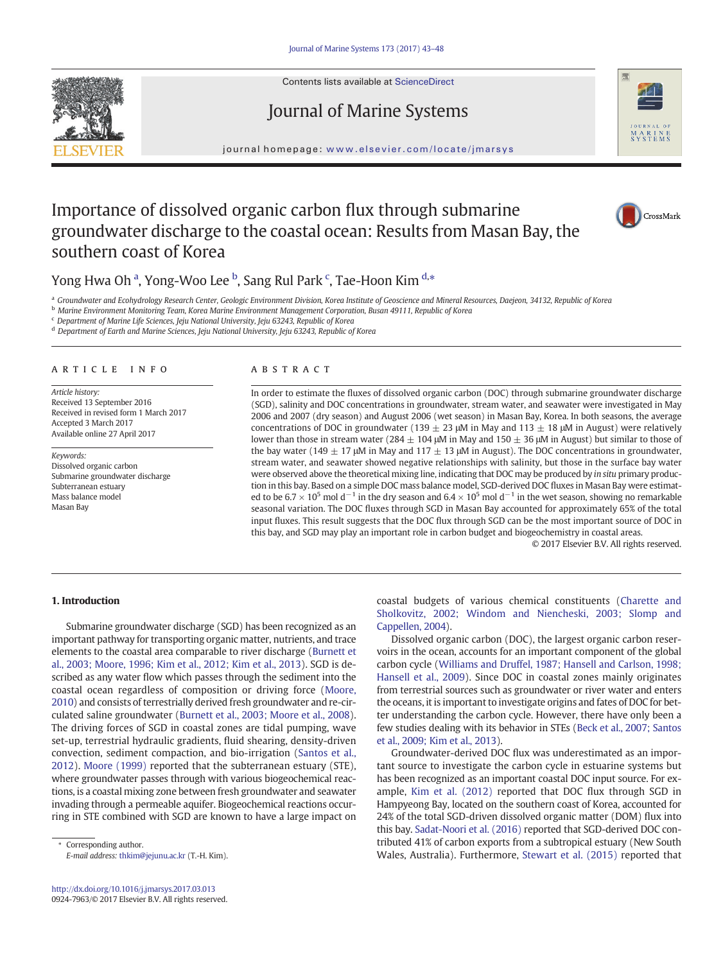Contents lists available at ScienceDirect







journal homepage: <www.elsevier.com/locate/jmarsys>

# Importance of dissolved organic carbon flux through submarine groundwater discharge to the coastal ocean: Results from Masan Bay, the southern coast of Korea



## Yong Hwa Oh <sup>a</sup>, Yong-Woo Lee <sup>b</sup>, Sang Rul Park <sup>c</sup>, Tae-Hoon Kim <sup>d,</sup>\*

a Groundwater and Ecohydrology Research Center, Geologic Environment Division, Korea Institute of Geoscience and Mineral Resources, Daejeon, 34132, Republic of Korea

<sup>b</sup> Marine Environment Monitoring Team, Korea Marine Environment Management Corporation, Busan 49111, Republic of Korea

<sup>c</sup> Department of Marine Life Sciences, Jeju National University, Jeju 63243, Republic of Korea

<sup>d</sup> Department of Earth and Marine Sciences, Jeju National University, Jeju 63243, Republic of Korea

#### article info abstract

Article history: Received 13 September 2016 Received in revised form 1 March 2017 Accepted 3 March 2017 Available online 27 April 2017

Keywords: Dissolved organic carbon Submarine groundwater discharge Subterranean estuary Mass balance model Masan Bay

In order to estimate the fluxes of dissolved organic carbon (DOC) through submarine groundwater discharge (SGD), salinity and DOC concentrations in groundwater, stream water, and seawater were investigated in May 2006 and 2007 (dry season) and August 2006 (wet season) in Masan Bay, Korea. In both seasons, the average concentrations of DOC in groundwater (139  $\pm$  23 μM in May and 113  $\pm$  18 μM in August) were relatively lower than those in stream water (284  $\pm$  104 μM in May and 150  $\pm$  36 μM in August) but similar to those of the bay water (149  $\pm$  17 μM in May and 117  $\pm$  13 μM in August). The DOC concentrations in groundwater, stream water, and seawater showed negative relationships with salinity, but those in the surface bay water were observed above the theoretical mixing line, indicating that DOC may be produced by in situ primary production in this bay. Based on a simple DOC mass balance model, SGD-derived DOC fluxes in Masan Bay were estimated to be  $6.7 \times 10^5$  mol d<sup>-1</sup> in the dry season and  $6.4 \times 10^5$  mol d<sup>-1</sup> in the wet season, showing no remarkable seasonal variation. The DOC fluxes through SGD in Masan Bay accounted for approximately 65% of the total input fluxes. This result suggests that the DOC flux through SGD can be the most important source of DOC in this bay, and SGD may play an important role in carbon budget and biogeochemistry in coastal areas.

© 2017 Elsevier B.V. All rights reserved.

#### 1. Introduction

Submarine groundwater discharge (SGD) has been recognized as an important pathway for transporting organic matter, nutrients, and trace elements to the coastal area comparable to river discharge [\(Burnett et](#page-5-0) [al., 2003; Moore, 1996; Kim et al., 2012; Kim et al., 2013](#page-5-0)). SGD is described as any water flow which passes through the sediment into the coastal ocean regardless of composition or driving force ([Moore,](#page-5-0) [2010](#page-5-0)) and consists of terrestrially derived fresh groundwater and re-circulated saline groundwater ([Burnett et al., 2003; Moore et al., 2008](#page-5-0)). The driving forces of SGD in coastal zones are tidal pumping, wave set-up, terrestrial hydraulic gradients, fluid shearing, density-driven convection, sediment compaction, and bio-irrigation ([Santos et al.,](#page-5-0) [2012\)](#page-5-0). [Moore \(1999\)](#page-5-0) reported that the subterranean estuary (STE), where groundwater passes through with various biogeochemical reactions, is a coastal mixing zone between fresh groundwater and seawater invading through a permeable aquifer. Biogeochemical reactions occurring in STE combined with SGD are known to have a large impact on

Corresponding author. E-mail address: [thkim@jejunu.ac.kr](mailto:thkim@jejunu.ac.kr) (T.-H. Kim). coastal budgets of various chemical constituents [\(Charette and](#page-5-0) [Sholkovitz, 2002; Windom and Niencheski, 2003; Slomp and](#page-5-0) [Cappellen, 2004](#page-5-0)).

Dissolved organic carbon (DOC), the largest organic carbon reservoirs in the ocean, accounts for an important component of the global carbon cycle ([Williams and Druffel, 1987; Hansell and Carlson, 1998;](#page-5-0) [Hansell et al., 2009](#page-5-0)). Since DOC in coastal zones mainly originates from terrestrial sources such as groundwater or river water and enters the oceans, it is important to investigate origins and fates of DOC for better understanding the carbon cycle. However, there have only been a few studies dealing with its behavior in STEs [\(Beck et al., 2007; Santos](#page-5-0) [et al., 2009; Kim et al., 2013](#page-5-0)).

Groundwater-derived DOC flux was underestimated as an important source to investigate the carbon cycle in estuarine systems but has been recognized as an important coastal DOC input source. For example, [Kim et al. \(2012\)](#page-5-0) reported that DOC flux through SGD in Hampyeong Bay, located on the southern coast of Korea, accounted for 24% of the total SGD-driven dissolved organic matter (DOM) flux into this bay. [Sadat-Noori et al. \(2016\)](#page-5-0) reported that SGD-derived DOC contributed 41% of carbon exports from a subtropical estuary (New South Wales, Australia). Furthermore, [Stewart et al. \(2015\)](#page-5-0) reported that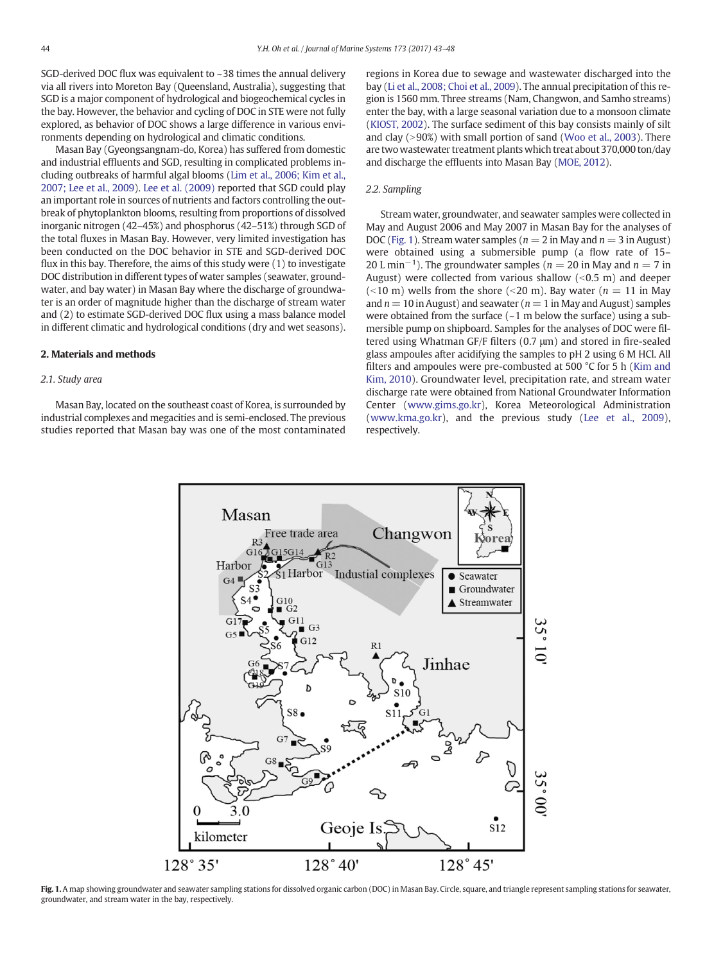SGD-derived DOC flux was equivalent to ~38 times the annual delivery via all rivers into Moreton Bay (Queensland, Australia), suggesting that SGD is a major component of hydrological and biogeochemical cycles in the bay. However, the behavior and cycling of DOC in STE were not fully explored, as behavior of DOC shows a large difference in various environments depending on hydrological and climatic conditions.

Masan Bay (Gyeongsangnam-do, Korea) has suffered from domestic and industrial effluents and SGD, resulting in complicated problems including outbreaks of harmful algal blooms [\(Lim et al., 2006; Kim et al.,](#page-5-0) [2007; Lee et al., 2009\)](#page-5-0). [Lee et al. \(2009\)](#page-5-0) reported that SGD could play an important role in sources of nutrients and factors controlling the outbreak of phytoplankton blooms, resulting from proportions of dissolved inorganic nitrogen (42–45%) and phosphorus (42–51%) through SGD of the total fluxes in Masan Bay. However, very limited investigation has been conducted on the DOC behavior in STE and SGD-derived DOC flux in this bay. Therefore, the aims of this study were (1) to investigate DOC distribution in different types of water samples (seawater, groundwater, and bay water) in Masan Bay where the discharge of groundwater is an order of magnitude higher than the discharge of stream water and (2) to estimate SGD-derived DOC flux using a mass balance model in different climatic and hydrological conditions (dry and wet seasons).

#### 2. Materials and methods

#### 2.1. Study area

Masan Bay, located on the southeast coast of Korea, is surrounded by industrial complexes and megacities and is semi-enclosed. The previous studies reported that Masan bay was one of the most contaminated regions in Korea due to sewage and wastewater discharged into the bay ([Li et al., 2008; Choi et al., 2009\)](#page-5-0). The annual precipitation of this region is 1560 mm. Three streams (Nam, Changwon, and Samho streams) enter the bay, with a large seasonal variation due to a monsoon climate [\(KIOST, 2002\)](#page-5-0). The surface sediment of this bay consists mainly of silt and clay  $(>90%)$  with small portion of sand [\(Woo et al., 2003](#page-5-0)). There are two wastewater treatment plants which treat about 370,000 ton/day and discharge the effluents into Masan Bay ([MOE, 2012\)](#page-5-0).

### 2.2. Sampling

Stream water, groundwater, and seawater samples were collected in May and August 2006 and May 2007 in Masan Bay for the analyses of DOC (Fig. 1). Stream water samples ( $n = 2$  in May and  $n = 3$  in August) were obtained using a submersible pump (a flow rate of 15– 20 L min<sup>-1</sup>). The groundwater samples ( $n = 20$  in May and  $n = 7$  in August) were collected from various shallow  $(< 0.5$  m) and deeper (<10 m) wells from the shore (<20 m). Bay water ( $n = 11$  in May and  $n = 10$  in August) and seawater ( $n = 1$  in May and August) samples were obtained from the surface  $(-1 \text{ m}$  below the surface) using a submersible pump on shipboard. Samples for the analyses of DOC were filtered using Whatman GF/F filters (0.7 μm) and stored in fire-sealed glass ampoules after acidifying the samples to pH 2 using 6 M HCl. All filters and ampoules were pre-combusted at 500 °C for 5 h [\(Kim and](#page-5-0) [Kim, 2010](#page-5-0)). Groundwater level, precipitation rate, and stream water discharge rate were obtained from National Groundwater Information Center ([www.gims.go.kr](http://www.gims.go.kr)), Korea Meteorological Administration [\(www.kma.go.kr](http://www.kma.go.kr)), and the previous study [\(Lee et al., 2009](#page-5-0)), respectively.



Fig. 1. A map showing groundwater and seawater sampling stations for dissolved organic carbon (DOC) in Masan Bay. Circle, square, and triangle represent sampling stations for seawater, groundwater, and stream water in the bay, respectively.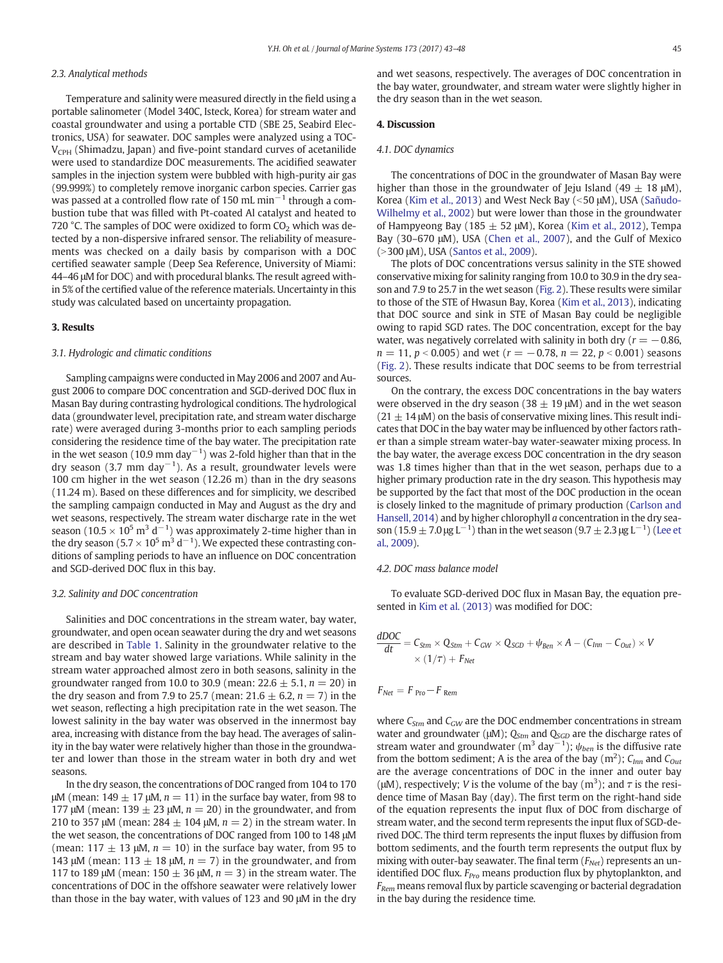#### 2.3. Analytical methods

Temperature and salinity were measured directly in the field using a portable salinometer (Model 340C, Isteck, Korea) for stream water and coastal groundwater and using a portable CTD (SBE 25, Seabird Electronics, USA) for seawater. DOC samples were analyzed using a TOC- $V_{\text{CPH}}$  (Shimadzu, Japan) and five-point standard curves of acetanilide were used to standardize DOC measurements. The acidified seawater samples in the injection system were bubbled with high-purity air gas (99.999%) to completely remove inorganic carbon species. Carrier gas was passed at a controlled flow rate of 150 mL min<sup> $-1$ </sup> through a combustion tube that was filled with Pt-coated Al catalyst and heated to 720 °C. The samples of DOC were oxidized to form  $CO<sub>2</sub>$  which was detected by a non-dispersive infrared sensor. The reliability of measurements was checked on a daily basis by comparison with a DOC certified seawater sample (Deep Sea Reference, University of Miami: 44–46 μM for DOC) and with procedural blanks. The result agreed within 5% of the certified value of the reference materials. Uncertainty in this study was calculated based on uncertainty propagation.

#### 3. Results

#### 3.1. Hydrologic and climatic conditions

Sampling campaigns were conducted in May 2006 and 2007 and August 2006 to compare DOC concentration and SGD-derived DOC flux in Masan Bay during contrasting hydrological conditions. The hydrological data (groundwater level, precipitation rate, and stream water discharge rate) were averaged during 3-months prior to each sampling periods considering the residence time of the bay water. The precipitation rate in the wet season (10.9 mm day $^{-1}$ ) was 2-fold higher than that in the dry season (3.7 mm day $^{-1}$ ). As a result, groundwater levels were 100 cm higher in the wet season (12.26 m) than in the dry seasons (11.24 m). Based on these differences and for simplicity, we described the sampling campaign conducted in May and August as the dry and wet seasons, respectively. The stream water discharge rate in the wet season (10.5  $\times$  10<sup>5</sup> m<sup>3</sup> d<sup>-1</sup>) was approximately 2-time higher than in the dry season (5.7  $\times$  10<sup>5</sup> m<sup>3</sup> d<sup>-1</sup>). We expected these contrasting conditions of sampling periods to have an influence on DOC concentration and SGD-derived DOC flux in this bay.

#### 3.2. Salinity and DOC concentration

Salinities and DOC concentrations in the stream water, bay water, groundwater, and open ocean seawater during the dry and wet seasons are described in [Table 1.](#page-3-0) Salinity in the groundwater relative to the stream and bay water showed large variations. While salinity in the stream water approached almost zero in both seasons, salinity in the groundwater ranged from 10.0 to 30.9 (mean:  $22.6 \pm 5.1$ ,  $n = 20$ ) in the dry season and from 7.9 to 25.7 (mean: 21.6  $\pm$  6.2, n = 7) in the wet season, reflecting a high precipitation rate in the wet season. The lowest salinity in the bay water was observed in the innermost bay area, increasing with distance from the bay head. The averages of salinity in the bay water were relatively higher than those in the groundwater and lower than those in the stream water in both dry and wet seasons.

In the dry season, the concentrations of DOC ranged from 104 to 170 μM (mean:  $149 \pm 17$  μM,  $n = 11$ ) in the surface bay water, from 98 to 177 μM (mean: 139  $\pm$  23 μM,  $n = 20$ ) in the groundwater, and from 210 to 357 μM (mean:  $284 \pm 104$  μM,  $n = 2$ ) in the stream water. In the wet season, the concentrations of DOC ranged from 100 to 148 μM (mean: 117  $\pm$  13 μM,  $n = 10$ ) in the surface bay water, from 95 to 143 μM (mean: 113  $\pm$  18 μM,  $n = 7$ ) in the groundwater, and from 117 to 189 μM (mean:  $150 \pm 36$  μM,  $n = 3$ ) in the stream water. The concentrations of DOC in the offshore seawater were relatively lower than those in the bay water, with values of 123 and 90 μM in the dry and wet seasons, respectively. The averages of DOC concentration in the bay water, groundwater, and stream water were slightly higher in the dry season than in the wet season.

#### 4. Discussion

#### 4.1. DOC dynamics

The concentrations of DOC in the groundwater of Masan Bay were higher than those in the groundwater of Jeju Island (49  $\pm$  18 μM), Korea [\(Kim et al., 2013\)](#page-5-0) and West Neck Bay (<50 μM), USA [\(Sañudo-](#page-5-0)[Wilhelmy et al., 2002\)](#page-5-0) but were lower than those in the groundwater of Hampyeong Bay (185  $\pm$  52 μM), Korea ([Kim et al., 2012\)](#page-5-0), Tempa Bay (30–670 μM), USA ([Chen et al., 2007](#page-5-0)), and the Gulf of Mexico (>300 μM), USA [\(Santos et al., 2009](#page-5-0)).

The plots of DOC concentrations versus salinity in the STE showed conservative mixing for salinity ranging from 10.0 to 30.9 in the dry season and 7.9 to 25.7 in the wet season ([Fig. 2\)](#page-3-0). These results were similar to those of the STE of Hwasun Bay, Korea [\(Kim et al., 2013\)](#page-5-0), indicating that DOC source and sink in STE of Masan Bay could be negligible owing to rapid SGD rates. The DOC concentration, except for the bay water, was negatively correlated with salinity in both dry ( $r = -0.86$ ,  $n = 11$ ,  $p < 0.005$ ) and wet ( $r = -0.78$ ,  $n = 22$ ,  $p < 0.001$ ) seasons [\(Fig. 2\)](#page-3-0). These results indicate that DOC seems to be from terrestrial sources.

On the contrary, the excess DOC concentrations in the bay waters were observed in the dry season (38  $\pm$  19  $\mu$ M) and in the wet season  $(21 \pm 14 \,\mu)$  on the basis of conservative mixing lines. This result indicates that DOC in the bay water may be influenced by other factors rather than a simple stream water-bay water-seawater mixing process. In the bay water, the average excess DOC concentration in the dry season was 1.8 times higher than that in the wet season, perhaps due to a higher primary production rate in the dry season. This hypothesis may be supported by the fact that most of the DOC production in the ocean is closely linked to the magnitude of primary production [\(Carlson and](#page-5-0) [Hansell, 2014](#page-5-0)) and by higher chlorophyll a concentration in the dry season (15.9  $\pm$  7.0 μg L<sup>-1</sup>) than in the wet season (9.7  $\pm$  2.3 μg L<sup>-1</sup>) [\(Lee et](#page-5-0) [al., 2009](#page-5-0)).

#### 4.2. DOC mass balance model

To evaluate SGD-derived DOC flux in Masan Bay, the equation presented in [Kim et al. \(2013\)](#page-5-0) was modified for DOC:

$$
\frac{dDOC}{dt} = C_{Stm} \times Q_{Stm} + C_{GW} \times Q_{SGD} + \psi_{Ben} \times A - (C_{Inn} - C_{Out}) \times V
$$
  
 
$$
\times (1/\tau) + F_{Net}
$$

$$
F_{Net} = F_{Pro} - F_{Rem}
$$

where  $C_{Stm}$  and  $C_{GW}$  are the DOC endmember concentrations in stream water and groundwater ( $\mu$ M);  $Q_{\text{Stm}}$  and  $Q_{\text{SGD}}$  are the discharge rates of stream water and groundwater (m<sup>3</sup> day<sup>-1</sup>);  $\psi_{ben}$  is the diffusive rate from the bottom sediment; A is the area of the bay  $(m^2)$ ;  $C_{Inn}$  and  $C_{Out}$ are the average concentrations of DOC in the inner and outer bay ( $\mu$ M), respectively; *V* is the volume of the bay (m<sup>3</sup>); and  $\tau$  is the residence time of Masan Bay (day). The first term on the right-hand side of the equation represents the input flux of DOC from discharge of stream water, and the second term represents the input flux of SGD-derived DOC. The third term represents the input fluxes by diffusion from bottom sediments, and the fourth term represents the output flux by mixing with outer-bay seawater. The final term  $(F_{Net})$  represents an unidentified DOC flux.  $F_{Pro}$  means production flux by phytoplankton, and  $F_{Rem}$  means removal flux by particle scavenging or bacterial degradation in the bay during the residence time.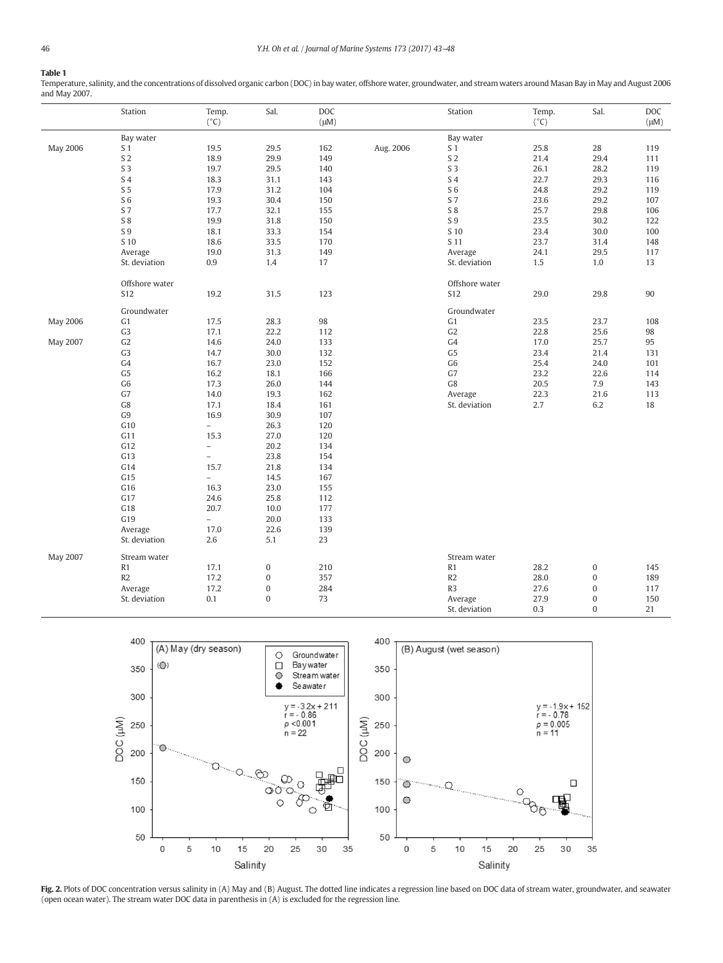## <span id="page-3-0"></span>Table 1

Temperature, salinity, and the concentrations of dissolved organic carbon (DOC) in bay water, offshore water, groundwater, and stream waters around Masan Bay in May and August 2006 and May 2007.

|                 | Station        | Temp.<br>$(^{\circ}C)$   | Sal.             | DOC<br>$(\mu M)$ |           | Station        | Temp.<br>$(^{\circ}C)$ | Sal.             | DOC<br>$(\mu M)$ |
|-----------------|----------------|--------------------------|------------------|------------------|-----------|----------------|------------------------|------------------|------------------|
|                 | Bay water      |                          |                  |                  |           | Bay water      |                        |                  |                  |
| <b>May 2006</b> | S <sub>1</sub> | 19.5                     | 29.5             | 162              | Aug. 2006 | S <sub>1</sub> | 25.8                   | 28               | 119              |
|                 | S <sub>2</sub> | 18.9                     | 29.9             | 149              |           | S <sub>2</sub> | 21.4                   | 29.4             | 111              |
|                 | S <sub>3</sub> | 19.7                     | 29.5             | 140              |           | S <sub>3</sub> | 26.1                   | 28.2             | 119              |
|                 | S 4            | 18.3                     | 31.1             | 143              |           | S <sub>4</sub> | 22.7                   | 29.3             | 116              |
|                 | S <sub>5</sub> | 17.9                     | 31.2             | 104              |           | S <sub>6</sub> | 24.8                   | 29.2             | 119              |
|                 | S <sub>6</sub> | 19.3                     | 30.4             | 150              |           | S 7            | 23.6                   | 29.2             | 107              |
|                 | S 7            | 17.7                     | 32.1             | 155              |           | S 8            | 25.7                   | 29.8             | 106              |
|                 | S 8            | 19.9                     | 31.8             | 150              |           | $\sqrt{S}$ 9   | 23.5                   | 30.2             | 122              |
|                 | S 9            | 18.1                     | 33.3             | 154              |           | S 10           | 23.4                   | 30.0             | 100              |
|                 | S 10           | 18.6                     | 33.5             | 170              |           | S 11           | 23.7                   | 31.4             | 148              |
|                 | Average        | 19.0                     | 31.3             | 149              |           | Average        | 24.1                   | 29.5             | 117              |
|                 | St. deviation  | 0.9                      | 1.4              | 17               |           | St. deviation  | 1.5                    | $1.0\,$          | 13               |
|                 |                |                          |                  |                  |           |                |                        |                  |                  |
|                 | Offshore water |                          |                  |                  |           | Offshore water |                        |                  |                  |
|                 | <b>S12</b>     | 19.2                     | 31.5             | 123              |           | S12            | 29.0                   | 29.8             | 90               |
|                 | Groundwater    |                          |                  |                  |           | Groundwater    |                        |                  |                  |
| May 2006        | G1             | 17.5                     | 28.3             | 98               |           | G1             | 23.5                   | 23.7             | 108              |
|                 | G <sub>3</sub> | 17.1                     | 22.2             | 112              |           | G2             | 22.8                   | 25.6             | 98               |
| May 2007        | G2             | 14.6                     | 24.0             | 133              |           | G4             | 17.0                   | 25.7             | 95               |
|                 | G <sub>3</sub> | 14.7                     | 30.0             | 132              |           | G <sub>5</sub> | 23.4                   | 21.4             | 131              |
|                 | G4             | 16.7                     | 23.0             | 152              |           | G <sub>6</sub> | 25.4                   | 24.0             | 101              |
|                 | G <sub>5</sub> | 16.2                     | 18.1             | 166              |           | G7             | 23.2                   | 22.6             | 114              |
|                 | G <sub>6</sub> | 17.3                     | 26.0             | 144              |           | G8             | 20.5                   | 7.9              | 143              |
|                 | G7             | 14.0                     | 19.3             | 162              |           | Average        | 22.3                   | 21.6             | 113              |
|                 | G8             | 17.1                     | 18.4             | 161              |           | St. deviation  | 2.7                    | 6.2              | 18               |
|                 | G9             | 16.9                     | 30.9             | 107              |           |                |                        |                  |                  |
|                 | G10            | $\equiv$                 | 26.3             | 120              |           |                |                        |                  |                  |
|                 | G11            | 15.3                     | 27.0             | 120              |           |                |                        |                  |                  |
|                 | G12            | $\overline{\phantom{0}}$ | 20.2             | 134              |           |                |                        |                  |                  |
|                 | G13            | $\overline{a}$           | 23.8             | 154              |           |                |                        |                  |                  |
|                 | G14            | 15.7                     | 21.8             | 134              |           |                |                        |                  |                  |
|                 | G15            | $\overline{\phantom{0}}$ | 14.5             | 167              |           |                |                        |                  |                  |
|                 | G16            | 16.3                     | 23.0             | 155              |           |                |                        |                  |                  |
|                 | G17            | 24.6                     | 25.8             | 112              |           |                |                        |                  |                  |
|                 | G18            | 20.7                     | 10.0             | 177              |           |                |                        |                  |                  |
|                 | G19            | $\equiv$                 | 20.0             | 133              |           |                |                        |                  |                  |
|                 | Average        | 17.0                     | 22.6             | 139              |           |                |                        |                  |                  |
|                 | St. deviation  | 2.6                      | 5.1              | 23               |           |                |                        |                  |                  |
| May 2007        | Stream water   |                          |                  |                  |           | Stream water   |                        |                  |                  |
|                 | R1             | 17.1                     | $\boldsymbol{0}$ | 210              |           | R1             | 28.2                   | $\boldsymbol{0}$ | 145              |
|                 | R2             | 17.2                     | $\boldsymbol{0}$ | 357              |           | R2             | 28.0                   | $\mathbf 0$      | 189              |
|                 | Average        | 17.2                     | $\boldsymbol{0}$ | 284              |           | R <sub>3</sub> | 27.6                   | $\boldsymbol{0}$ | 117              |
|                 | St. deviation  | 0.1                      | $\overline{0}$   | 73               |           | Average        | 27.9                   | $\bf{0}$         | 150              |
|                 |                |                          |                  |                  |           | St. deviation  | 0.3                    | $\Omega$         | 21               |



Fig. 2. Plots of DOC concentration versus salinity in (A) May and (B) August. The dotted line indicates a regression line based on DOC data of stream water, groundwater, and seawater (open ocean water). The stream water DOC data in parenthesis in (A) is excluded for the regression line.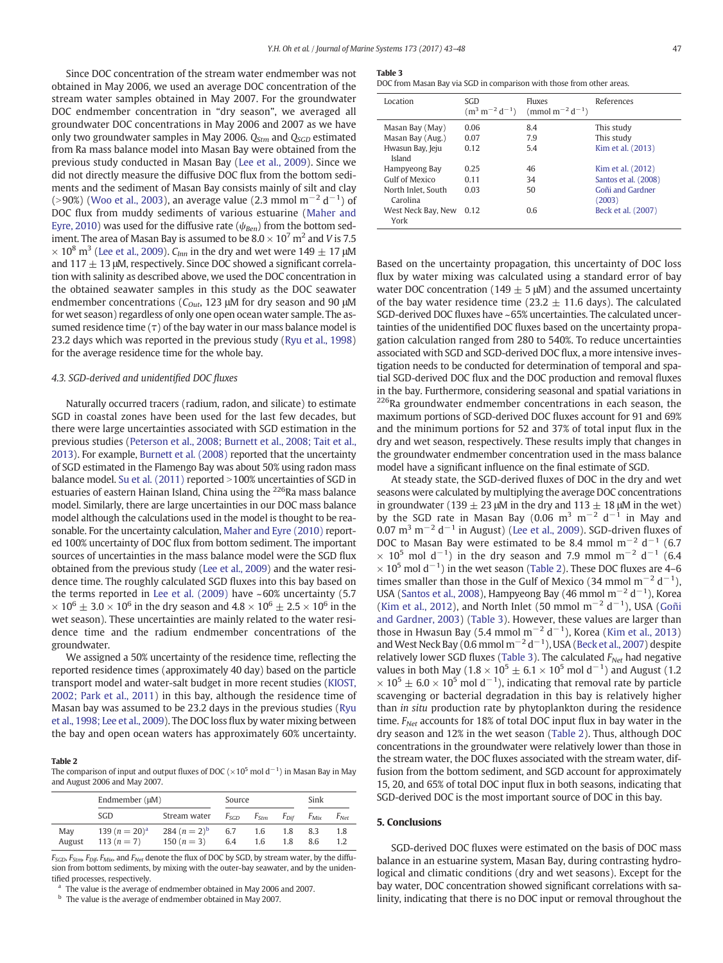Since DOC concentration of the stream water endmember was not obtained in May 2006, we used an average DOC concentration of the stream water samples obtained in May 2007. For the groundwater DOC endmember concentration in "dry season", we averaged all groundwater DOC concentrations in May 2006 and 2007 as we have only two groundwater samples in May 2006.  $Q_{Stm}$  and  $Q_{SGD}$  estimated from Ra mass balance model into Masan Bay were obtained from the previous study conducted in Masan Bay ([Lee et al., 2009\)](#page-5-0). Since we did not directly measure the diffusive DOC flux from the bottom sediments and the sediment of Masan Bay consists mainly of silt and clay (>90%) ([Woo et al., 2003\)](#page-5-0), an average value (2.3 mmol m<sup>-2</sup> d<sup>-1</sup>) of DOC flux from muddy sediments of various estuarine ([Maher and](#page-5-0) [Eyre, 2010\)](#page-5-0) was used for the diffusive rate ( $\psi_{Ben}$ ) from the bottom sediment. The area of Masan Bay is assumed to be  $8.0 \times 10^7$  m<sup>2</sup> and *V* is 7.5  $\times$  10<sup>8</sup> m<sup>3</sup> [\(Lee et al., 2009](#page-5-0)).  $C_{lmn}$  in the dry and wet were 149  $\pm$  17 µM and  $117 \pm 13$  μM, respectively. Since DOC showed a significant correlation with salinity as described above, we used the DOC concentration in the obtained seawater samples in this study as the DOC seawater endmember concentrations ( $C_{Out}$ , 123 μM for dry season and 90 μM for wet season) regardless of only one open ocean water sample. The assumed residence time  $(\tau)$  of the bay water in our mass balance model is 23.2 days which was reported in the previous study ([Ryu et al., 1998](#page-5-0)) for the average residence time for the whole bay.

#### 4.3. SGD-derived and unidentified DOC fluxes

Naturally occurred tracers (radium, radon, and silicate) to estimate SGD in coastal zones have been used for the last few decades, but there were large uncertainties associated with SGD estimation in the previous studies [\(Peterson et al., 2008; Burnett et al., 2008; Tait et al.,](#page-5-0) [2013](#page-5-0)). For example, [Burnett et al. \(2008\)](#page-5-0) reported that the uncertainty of SGD estimated in the Flamengo Bay was about 50% using radon mass balance model. Su et al.  $(2011)$  reported  $>100\%$  uncertainties of SGD in estuaries of eastern Hainan Island, China using the <sup>226</sup>Ra mass balance model. Similarly, there are large uncertainties in our DOC mass balance model although the calculations used in the model is thought to be reasonable. For the uncertainty calculation, [Maher and Eyre \(2010\)](#page-5-0) reported 100% uncertainty of DOC flux from bottom sediment. The important sources of uncertainties in the mass balance model were the SGD flux obtained from the previous study [\(Lee et al., 2009\)](#page-5-0) and the water residence time. The roughly calculated SGD fluxes into this bay based on the terms reported in Lee et al.  $(2009)$  have  $\sim 60\%$  uncertainty  $(5.7)$  $\times 10^6 \pm 3.0 \times 10^6$  in the dry season and  $4.8 \times 10^6 \pm 2.5 \times 10^6$  in the wet season). These uncertainties are mainly related to the water residence time and the radium endmember concentrations of the groundwater.

We assigned a 50% uncertainty of the residence time, reflecting the reported residence times (approximately 40 day) based on the particle transport model and water-salt budget in more recent studies [\(KIOST,](#page-5-0) [2002; Park et al., 2011](#page-5-0)) in this bay, although the residence time of Masan bay was assumed to be 23.2 days in the previous studies ([Ryu](#page-5-0) [et al., 1998; Lee et al., 2009](#page-5-0)). The DOC loss flux by water mixing between the bay and open ocean waters has approximately 60% uncertainty.

#### Table 2

The comparison of input and output fluxes of DOC ( $\times 10^5$  mol d $^{-1}$ ) in Masan Bay in May and August 2006 and May 2007.

|               | Endmember $(\mu M)$               | Source                           |            |                  | Sink             |                  |                  |
|---------------|-----------------------------------|----------------------------------|------------|------------------|------------------|------------------|------------------|
|               | SGD                               | Stream water                     | Fsgd       | F <sub>Stm</sub> | F <sub>Dif</sub> | F <sub>Mix</sub> | F <sub>Net</sub> |
| May<br>August | 139 $(n = 20)^a$<br>113 $(n = 7)$ | 284 $(n = 2)^b$<br>150 $(n = 3)$ | 6.7<br>6.4 | 1.6<br>1.6       | 1.8<br>1.8       | 8.3<br>8.6       | 1.8<br>1.2       |

 $F_{SGD}$ ,  $F_{Stm}$ ,  $F_{Dif}$ ,  $F_{Mix}$ , and  $F_{Net}$  denote the flux of DOC by SGD, by stream water, by the diffusion from bottom sediments, by mixing with the outer-bay seawater, and by the unidentified processes, respectively.

The value is the average of endmember obtained in May 2006 and 2007.

<sup>b</sup> The value is the average of endmember obtained in May 2007.

#### Table 3

DOC from Masan Bay via SGD in comparison with those from other areas.

| Location                            | SGD<br>$(m^3 m^{-2} d^{-1})$ | Fluxes<br>(mmol m <sup>-2</sup> d <sup>-1</sup> ) | References                 |
|-------------------------------------|------------------------------|---------------------------------------------------|----------------------------|
| Masan Bay (May)<br>Masan Bay (Aug.) | 0.06<br>0.07                 | 8.4<br>7.9                                        | This study<br>This study   |
| Hwasun Bay, Jeju<br>Island          | 0.12                         | 5.4                                               | Kim et al. (2013)          |
| Hampyeong Bay                       | 0.25                         | 46                                                | Kim et al. (2012)          |
| Gulf of Mexico                      | 0.11                         | 34                                                | Santos et al. (2008)       |
| North Inlet. South<br>Carolina      | 0.03                         | 50                                                | Goñi and Gardner<br>(2003) |
| West Neck Bay, New<br>York          | 0.12                         | 0.6                                               | Beck et al. (2007)         |

Based on the uncertainty propagation, this uncertainty of DOC loss flux by water mixing was calculated using a standard error of bay water DOC concentration (149  $\pm$  5  $\mu$ M) and the assumed uncertainty of the bay water residence time (23.2  $\pm$  11.6 days). The calculated SGD-derived DOC fluxes have ~65% uncertainties. The calculated uncertainties of the unidentified DOC fluxes based on the uncertainty propagation calculation ranged from 280 to 540%. To reduce uncertainties associated with SGD and SGD-derived DOC flux, a more intensive investigation needs to be conducted for determination of temporal and spatial SGD-derived DOC flux and the DOC production and removal fluxes in the bay. Furthermore, considering seasonal and spatial variations in <sup>226</sup>Ra groundwater endmember concentrations in each season, the maximum portions of SGD-derived DOC fluxes account for 91 and 69% and the minimum portions for 52 and 37% of total input flux in the dry and wet season, respectively. These results imply that changes in the groundwater endmember concentration used in the mass balance model have a significant influence on the final estimate of SGD.

At steady state, the SGD-derived fluxes of DOC in the dry and wet seasons were calculated by multiplying the average DOC concentrations in groundwater (139  $\pm$  23 μM in the dry and 113  $\pm$  18 μM in the wet) by the SGD rate in Masan Bay (0.06 m<sup>3</sup> m<sup>-2</sup> d<sup>-1</sup> in May and 0.07 m<sup>3</sup> m<sup>-2</sup> d<sup>-1</sup> in August) ([Lee et al., 2009\)](#page-5-0). SGD-driven fluxes of DOC to Masan Bay were estimated to be 8.4 mmol  $m^{-2}$  d<sup>-1</sup> (6.7)  $\times$  10<sup>5</sup> mol d<sup>-1</sup>) in the dry season and 7.9 mmol m<sup>-2</sup> d<sup>-1</sup> (6.4  $\times$  10<sup>5</sup> mol d<sup>-1</sup>) in the wet season (Table 2). These DOC fluxes are 4–6 times smaller than those in the Gulf of Mexico (34 mmol m<sup>-2</sup> d<sup>-1</sup>), USA ([Santos et al., 2008](#page-5-0)), Hampyeong Bay (46 mmol m<sup>-2</sup> d<sup>-1</sup>), Korea [\(Kim et al., 2012\)](#page-5-0), and North Inlet (50 mmol  $m^{-2} d^{-1}$ ), USA [\(Goñi](#page-5-0) [and Gardner, 2003\)](#page-5-0) (Table 3). However, these values are larger than those in Hwasun Bay (5.4 mmol m<sup>-2</sup> d<sup>-1</sup>), Korea [\(Kim et al., 2013](#page-5-0)) and West Neck Bay (0.6 mmol m<sup>-2</sup> d<sup>-1</sup>), USA [\(Beck et al., 2007\)](#page-5-0) despite relatively lower SGD fluxes (Table 3). The calculated  $F_{N_{\text{e}r}}$  had negative values in both May (1.8 × 10<sup>5</sup>  $\pm$  6.1 × 10<sup>5</sup> mol d<sup>-1</sup>) and August (1.2  $\times$  10<sup>5</sup>  $\pm$  6.0  $\times$  10<sup>5</sup> mol d<sup>-1</sup>), indicating that removal rate by particle scavenging or bacterial degradation in this bay is relatively higher than in situ production rate by phytoplankton during the residence time.  $F_{Net}$  accounts for 18% of total DOC input flux in bay water in the dry season and 12% in the wet season (Table 2). Thus, although DOC concentrations in the groundwater were relatively lower than those in the stream water, the DOC fluxes associated with the stream water, diffusion from the bottom sediment, and SGD account for approximately 15, 20, and 65% of total DOC input flux in both seasons, indicating that SGD-derived DOC is the most important source of DOC in this bay.

#### 5. Conclusions

SGD-derived DOC fluxes were estimated on the basis of DOC mass balance in an estuarine system, Masan Bay, during contrasting hydrological and climatic conditions (dry and wet seasons). Except for the bay water, DOC concentration showed significant correlations with salinity, indicating that there is no DOC input or removal throughout the